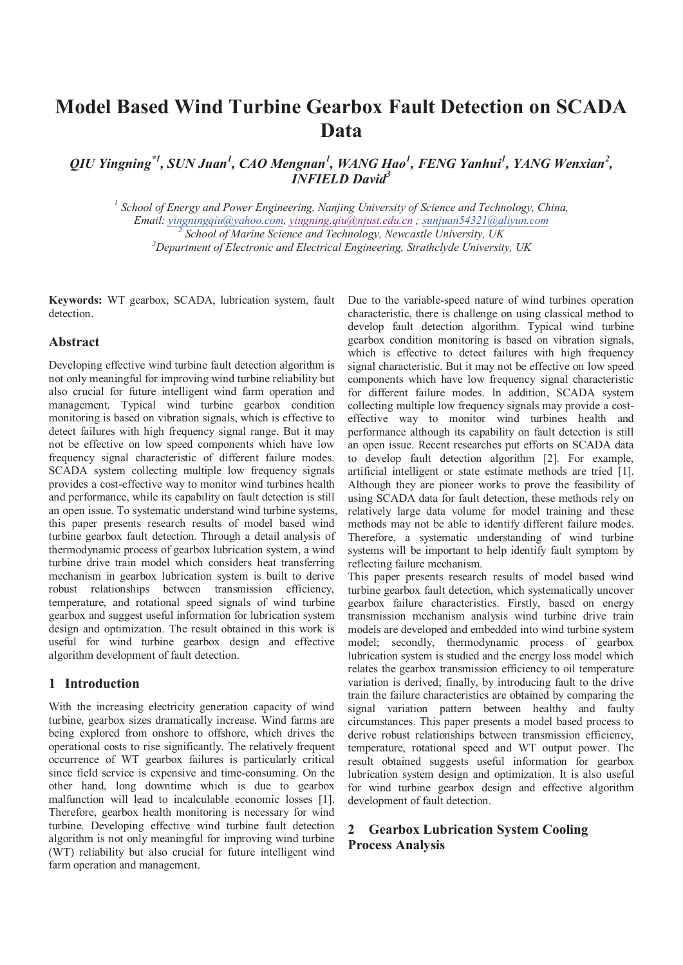# **Model Based Wind Turbine Gearbox Fault Detection on SCADA Data**

QIU Yingning<sup>\*1</sup>, SUN Juan<sup>1</sup>, CAO Mengnan<sup>1</sup>, WANG Hao<sup>1</sup>, FENG Yanhui<sup>1</sup>, YANG Wenxian<sup>2</sup>, *INFIELD David<sup>3</sup>*

<sup>1</sup> School of Energy and Power Engineering, Nanjing University of Science and Technology, China, *Email: yingningqiu@yahoo.com, yingning.qiu@njust.edu.cn ; sunjuan54321@aliyun.com <sup>2</sup> School of Marine Science and Technology, Newcastle University, UK 3 Department of Electronic and Electrical Engineering, Strathclyde University, UK*

**Keywords:** WT gearbox, SCADA, lubrication system, fault detection.

## **Abstract**

Developing effective wind turbine fault detection algorithm is not only meaningful for improving wind turbine reliability but also crucial for future intelligent wind farm operation and management. Typical wind turbine gearbox condition monitoring is based on vibration signals, which is effective to detect failures with high frequency signal range. But it may not be effective on low speed components which have low frequency signal characteristic of different failure modes. SCADA system collecting multiple low frequency signals provides a cost-effective way to monitor wind turbines health and performance, while its capability on fault detection is still an open issue. To systematic understand wind turbine systems, this paper presents research results of model based wind turbine gearbox fault detection. Through a detail analysis of thermodynamic process of gearbox lubrication system, a wind turbine drive train model which considers heat transferring mechanism in gearbox lubrication system is built to derive robust relationships between transmission efficiency, temperature, and rotational speed signals of wind turbine gearbox and suggest useful information for lubrication system design and optimization. The result obtained in this work is useful for wind turbine gearbox design and effective algorithm development of fault detection.

## **1 Introduction**

With the increasing electricity generation capacity of wind turbine, gearbox sizes dramatically increase. Wind farms are being explored from onshore to offshore, which drives the operational costs to rise significantly. The relatively frequent occurrence of WT gearbox failures is particularly critical since field service is expensive and time-consuming. On the other hand, long downtime which is due to gearbox malfunction will lead to incalculable economic losses [1]. Therefore, gearbox health monitoring is necessary for wind turbine. Developing effective wind turbine fault detection algorithm is not only meaningful for improving wind turbine (WT) reliability but also crucial for future intelligent wind farm operation and management.

Due to the variable-speed nature of wind turbines operation characteristic, there is challenge on using classical method to develop fault detection algorithm. Typical wind turbine gearbox condition monitoring is based on vibration signals, which is effective to detect failures with high frequency signal characteristic. But it may not be effective on low speed components which have low frequency signal characteristic for different failure modes. In addition, SCADA system collecting multiple low frequency signals may provide a costeffective way to monitor wind turbines health and performance although its capability on fault detection is still an open issue. Recent researches put efforts on SCADA data to develop fault detection algorithm [2]. For example, artificial intelligent or state estimate methods are tried [1]. Although they are pioneer works to prove the feasibility of using SCADA data for fault detection, these methods rely on relatively large data volume for model training and these methods may not be able to identify different failure modes. Therefore, a systematic understanding of wind turbine systems will be important to help identify fault symptom by reflecting failure mechanism.

This paper presents research results of model based wind turbine gearbox fault detection, which systematically uncover gearbox failure characteristics. Firstly, based on energy transmission mechanism analysis wind turbine drive train models are developed and embedded into wind turbine system model; secondly, thermodynamic process of gearbox lubrication system is studied and the energy loss model which relates the gearbox transmission efficiency to oil temperature variation is derived; finally, by introducing fault to the drive train the failure characteristics are obtained by comparing the signal variation pattern between healthy and faulty circumstances. This paper presents a model based process to derive robust relationships between transmission efficiency, temperature, rotational speed and WT output power. The result obtained suggests useful information for gearbox lubrication system design and optimization. It is also useful for wind turbine gearbox design and effective algorithm development of fault detection.

# **2 Gearbox Lubrication System Cooling Process Analysis**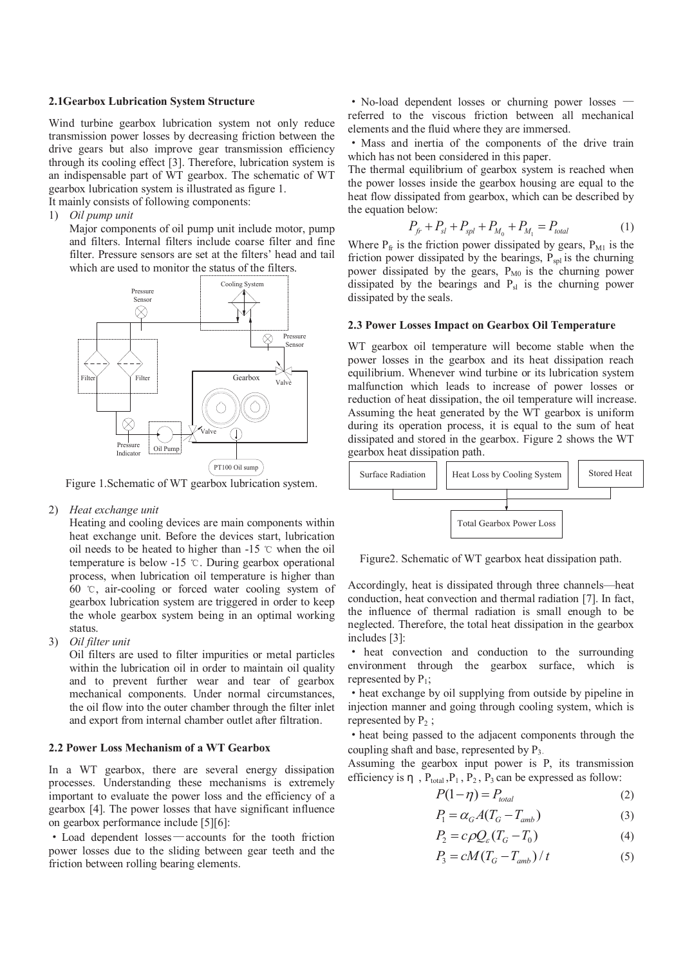#### **2.1Gearbox Lubrication System Structure**

Wind turbine gearbox lubrication system not only reduce transmission power losses by decreasing friction between the drive gears but also improve gear transmission efficiency through its cooling effect [3]. Therefore, lubrication system is an indispensable part of WT gearbox. The schematic of WT gearbox lubrication system is illustrated as figure 1.

It mainly consists of following components:

1) *Oil pump unit*

Major components of oil pump unit include motor, pump and filters. Internal filters include coarse filter and fine filter. Pressure sensors are set at the filters' head and tail which are used to monitor the status of the filters.



Figure 1.Schematic of WT gearbox lubrication system.

2) *Heat exchange unit* 

Heating and cooling devices are main components within heat exchange unit. Before the devices start, lubrication oil needs to be heated to higher than  $-15$   $\degree$  when the oil temperature is below  $-15$  °C. During gearbox operational process, when lubrication oil temperature is higher than 60  $\degree$ C, air-cooling or forced water cooling system of gearbox lubrication system are triggered in order to keep the whole gearbox system being in an optimal working status.

3) *Oil filter unit* 

Oil filters are used to filter impurities or metal particles within the lubrication oil in order to maintain oil quality and to prevent further wear and tear of gearbox mechanical components. Under normal circumstances, the oil flow into the outer chamber through the filter inlet and export from internal chamber outlet after filtration.

#### **2.2 Power Loss Mechanism of a WT Gearbox**

In a WT gearbox, there are several energy dissipation processes. Understanding these mechanisms is extremely important to evaluate the power loss and the efficiency of a gearbox [4]. The power losses that have significant influence on gearbox performance include [5][6]:

• Load dependent losses—accounts for the tooth friction power losses due to the sliding between gear teeth and the friction between rolling bearing elements.

• No-load dependent losses or churning power losses referred to the viscous friction between all mechanical elements and the fluid where they are immersed.

• Mass and inertia of the components of the drive train which has not been considered in this paper.

The thermal equilibrium of gearbox system is reached when the power losses inside the gearbox housing are equal to the heat flow dissipated from gearbox, which can be described by the equation below:

$$
P_{f^r} + P_{sl} + P_{spl} + P_{M_0} + P_{M_1} = P_{total}
$$
 (1)

Where  $P_{\text{fr}}$  is the friction power dissipated by gears,  $P_{\text{M1}}$  is the friction power dissipated by the bearings,  $P_{sol}$  is the churning power dissipated by the gears,  $P_{M0}$  is the churning power dissipated by the bearings and  $P_{sl}$  is the churning power dissipated by the seals.

### **2.3 Power Losses Impact on Gearbox Oil Temperature**

WT gearbox oil temperature will become stable when the power losses in the gearbox and its heat dissipation reach equilibrium. Whenever wind turbine or its lubrication system malfunction which leads to increase of power losses or reduction of heat dissipation, the oil temperature will increase. Assuming the heat generated by the WT gearbox is uniform during its operation process, it is equal to the sum of heat dissipated and stored in the gearbox. Figure 2 shows the WT gearbox heat dissipation path.



Figure2. Schematic of WT gearbox heat dissipation path.

Accordingly, heat is dissipated through three channels—heat conduction, heat convection and thermal radiation [7]. In fact, the influence of thermal radiation is small enough to be neglected. Therefore, the total heat dissipation in the gearbox includes [3]:

the heat convection and conduction to the surrounding environment through the gearbox surface, which is represented by  $P_1$ ;

• heat exchange by oil supplying from outside by pipeline in injection manner and going through cooling system, which is represented by  $P_2$ ;

 $\cdot$  heat being passed to the adjacent components through the coupling shaft and base, represented by  $P_3$ .

Assuming the gearbox input power is P, its transmission efficiency is  $\eta$ ,  $P_{total}$ ,  $P_1$ ,  $P_2$ ,  $P_3$  can be expressed as follow:

$$
P(1 - \eta) = P_{total} \tag{2}
$$

$$
P_1 = \alpha_G A (T_G - T_{amb})
$$
\n(3)

$$
P_2 = c\rho Q_{\varepsilon}(T_G - T_0) \tag{4}
$$

$$
P_3 = cM(T_G - T_{amb})/t
$$
 (5)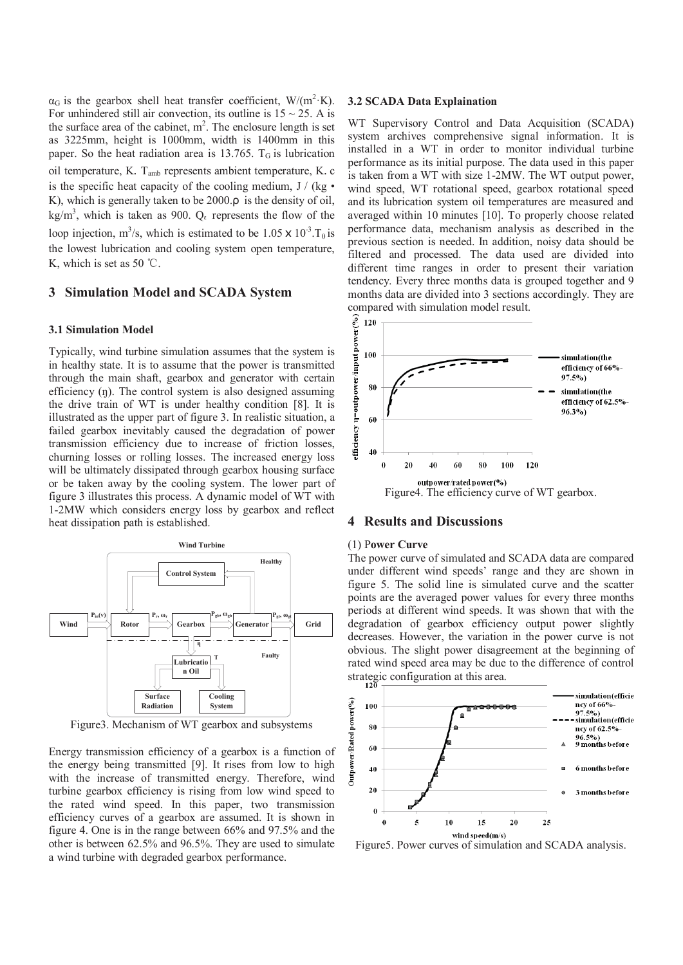$\alpha_G$  is the gearbox shell heat transfer coefficient, W/(m<sup>2</sup>·K). For unhindered still air convection, its outline is  $15 \sim 25$ . A is the surface area of the cabinet,  $m^2$ . The enclosure length is set as 3225mm, height is 1000mm, width is 1400mm in this paper. So the heat radiation area is 13.765.  $T<sub>G</sub>$  is lubrication oil temperature, K.  $T_{amb}$  represents ambient temperature, K. c is the specific heat capacity of the cooling medium,  $J / (kg \cdot$ K), which is generally taken to be 2000.ρ is the density of oil, kg/m<sup>3</sup>, which is taken as 900.  $Q_{\epsilon}$  represents the flow of the loop injection, m<sup>3</sup>/s, which is estimated to be  $1.05 \times 10^{-3}$ . T<sub>0</sub> is the lowest lubrication and cooling system open temperature, K, which is set as 50  $\degree$ C.

## **3 Simulation Model and SCADA System**

#### **3.1 Simulation Model**

Typically, wind turbine simulation assumes that the system is in healthy state. It is to assume that the power is transmitted through the main shaft, gearbox and generator with certain efficiency (ŋ). The control system is also designed assuming the drive train of WT is under healthy condition [8]. It is illustrated as the upper part of figure 3. In realistic situation, a failed gearbox inevitably caused the degradation of power transmission efficiency due to increase of friction losses, churning losses or rolling losses. The increased energy loss will be ultimately dissipated through gearbox housing surface or be taken away by the cooling system. The lower part of figure 3 illustrates this process. A dynamic model of WT with 1-2MW which considers energy loss by gearbox and reflect heat dissipation path is established.



Figure3. Mechanism of WT gearbox and subsystems

Energy transmission efficiency of a gearbox is a function of the energy being transmitted [9]. It rises from low to high with the increase of transmitted energy. Therefore, wind turbine gearbox efficiency is rising from low wind speed to the rated wind speed. In this paper, two transmission efficiency curves of a gearbox are assumed. It is shown in figure 4. One is in the range between 66% and 97.5% and the other is between 62.5% and 96.5%. They are used to simulate a wind turbine with degraded gearbox performance.

#### **3.2 SCADA Data Explaination**

WT Supervisory Control and Data Acquisition (SCADA) system archives comprehensive signal information. It is installed in a WT in order to monitor individual turbine performance as its initial purpose. The data used in this paper is taken from a WT with size 1-2MW. The WT output power, wind speed, WT rotational speed, gearbox rotational speed and its lubrication system oil temperatures are measured and averaged within 10 minutes [10]. To properly choose related performance data, mechanism analysis as described in the previous section is needed. In addition, noisy data should be filtered and processed. The data used are divided into different time ranges in order to present their variation tendency. Every three months data is grouped together and 9 months data are divided into 3 sections accordingly. They are compared with simulation model result.



# **4 Results and Discussions**

#### (1) P**ower Curve**

The power curve of simulated and SCADA data are compared under different wind speeds' range and they are shown in figure 5. The solid line is simulated curve and the scatter points are the averaged power values for every three months periods at different wind speeds. It was shown that with the degradation of gearbox efficiency output power slightly decreases. However, the variation in the power curve is not obvious. The slight power disagreement at the beginning of rated wind speed area may be due to the difference of control strategic configuration at this area.



Figure5. Power curves of simulation and SCADA analysis.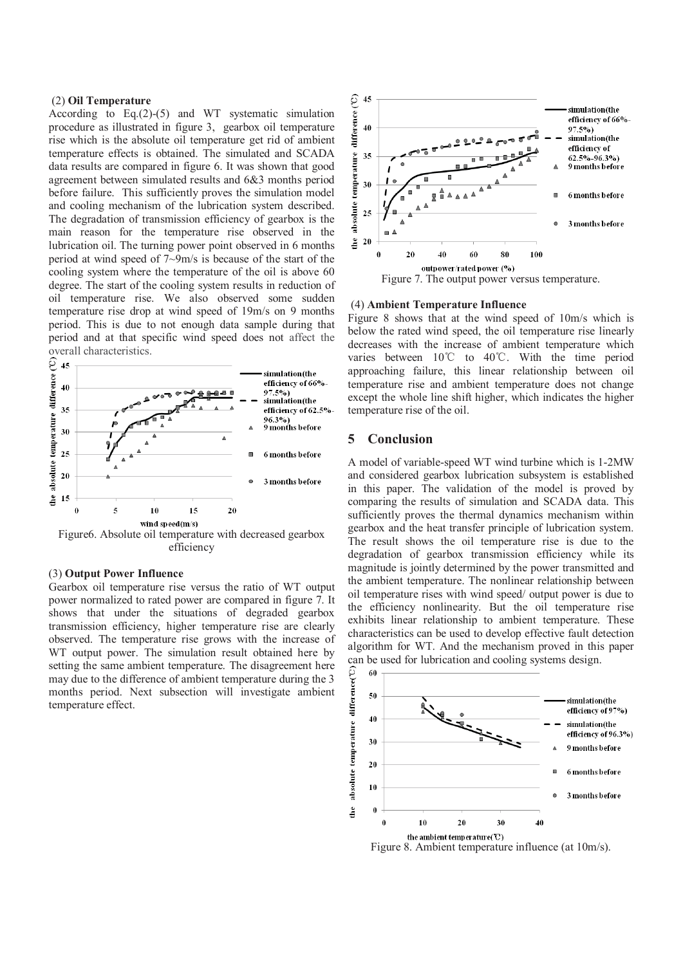#### (2) **Oil Temperature**

According to Eq.(2)-(5) and WT systematic simulation procedure as illustrated in figure 3, gearbox oil temperature rise which is the absolute oil temperature get rid of ambient temperature effects is obtained. The simulated and SCADA data results are compared in figure 6. It was shown that good agreement between simulated results and 6&3 months period before failure. This sufficiently proves the simulation model and cooling mechanism of the lubrication system described. The degradation of transmission efficiency of gearbox is the main reason for the temperature rise observed in the lubrication oil. The turning power point observed in 6 months period at wind speed of 7~9m/s is because of the start of the cooling system where the temperature of the oil is above 60 degree. The start of the cooling system results in reduction of oil temperature rise. We also observed some sudden temperature rise drop at wind speed of 19m/s on 9 months period. This is due to not enough data sample during that period and at that specific wind speed does not affect the overall characteristics.



#### (3) **Output Power Influence**

Gearbox oil temperature rise versus the ratio of WT output power normalized to rated power are compared in figure 7. It shows that under the situations of degraded gearbox transmission efficiency, higher temperature rise are clearly observed. The temperature rise grows with the increase of WT output power. The simulation result obtained here by setting the same ambient temperature. The disagreement here may due to the difference of ambient temperature during the 3 months period. Next subsection will investigate ambient temperature effect.



#### (4) **Ambient Temperature Influence**

Figure 8 shows that at the wind speed of 10m/s which is below the rated wind speed, the oil temperature rise linearly decreases with the increase of ambient temperature which varies between  $10^{\circ}$  to  $40^{\circ}$ . With the time period approaching failure, this linear relationship between oil temperature rise and ambient temperature does not change except the whole line shift higher, which indicates the higher temperature rise of the oil.

## **5 Conclusion**

A model of variable-speed WT wind turbine which is 1-2MW and considered gearbox lubrication subsystem is established in this paper. The validation of the model is proved by comparing the results of simulation and SCADA data. This sufficiently proves the thermal dynamics mechanism within gearbox and the heat transfer principle of lubrication system. The result shows the oil temperature rise is due to the degradation of gearbox transmission efficiency while its magnitude is jointly determined by the power transmitted and the ambient temperature. The nonlinear relationship between oil temperature rises with wind speed/ output power is due to the efficiency nonlinearity. But the oil temperature rise exhibits linear relationship to ambient temperature. These characteristics can be used to develop effective fault detection algorithm for WT. And the mechanism proved in this paper can be used for lubrication and cooling systems design.



Figure 8. Ambient temperature influence (at 10m/s).